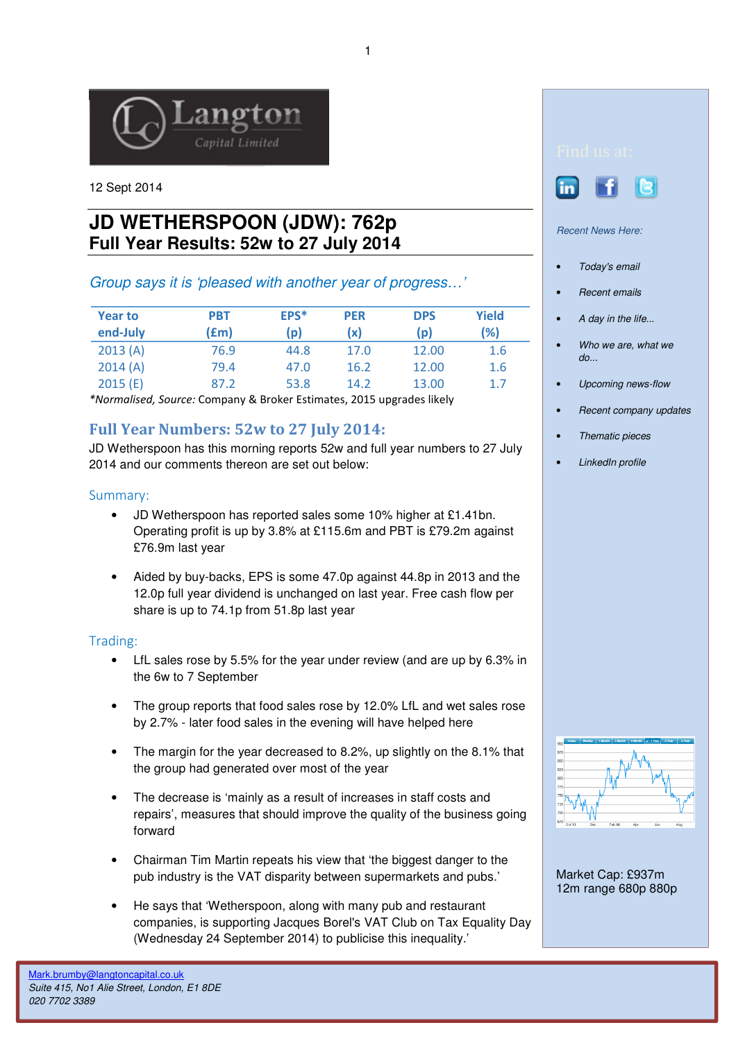

12 Sept 2014

# **JD WETHERSPOON (JDW): 762p Full Year Results: 52w to 27 July 2014**

## Group says it is 'pleased with another year of progress…'

| <b>Year to</b><br>end-July | <b>PBT</b><br>f(m) | EPS*<br>(p) | <b>PER</b><br>(x) | <b>DPS</b><br>(p) | Yield<br>(%) |
|----------------------------|--------------------|-------------|-------------------|-------------------|--------------|
| 2013(A)                    | 76.9               | 44.8        | 17.0              | 12.00             | 1.6          |
| 2014(A)                    | 79.4               | 47.0        | 16.2              | 12.00             | 1.6          |
| 2015(E)                    | 87.2               | 53.8        | 14.2              | 13.00             | 1.7          |

\*Normalised, Source: Company & Broker Estimates, 2015 upgrades likely

# Full Year Numbers: 52w to 27 July 2014:

JD Wetherspoon has this morning reports 52w and full year numbers to 27 July 2014 and our comments thereon are set out below:

### Summary:

- JD Wetherspoon has reported sales some 10% higher at £1.41bn. Operating profit is up by 3.8% at £115.6m and PBT is £79.2m against £76.9m last year
- Aided by buy-backs, EPS is some 47.0p against 44.8p in 2013 and the 12.0p full year dividend is unchanged on last year. Free cash flow per share is up to 74.1p from 51.8p last year

#### Trading:

- LfL sales rose by 5.5% for the year under review (and are up by 6.3% in the 6w to 7 September
- The group reports that food sales rose by 12.0% LfL and wet sales rose by 2.7% - later food sales in the evening will have helped here
- The margin for the year decreased to 8.2%, up slightly on the 8.1% that the group had generated over most of the year
- The decrease is 'mainly as a result of increases in staff costs and repairs', measures that should improve the quality of the business going forward
- Chairman Tim Martin repeats his view that 'the biggest danger to the pub industry is the VAT disparity between supermarkets and pubs.'
- He says that 'Wetherspoon, along with many pub and restaurant companies, is supporting Jacques Borel's VAT Club on Tax Equality Day (Wednesday 24 September 2014) to publicise this inequality.'



Recent News Here:

Ļ

- Today's email
- Recent emails
- A day in the life...
- Who we are, what we do...
- Upcoming news-flow
- Recent company updates
- Thematic pieces
- LinkedIn profile



Market Cap: £937m 12m range 680p 880p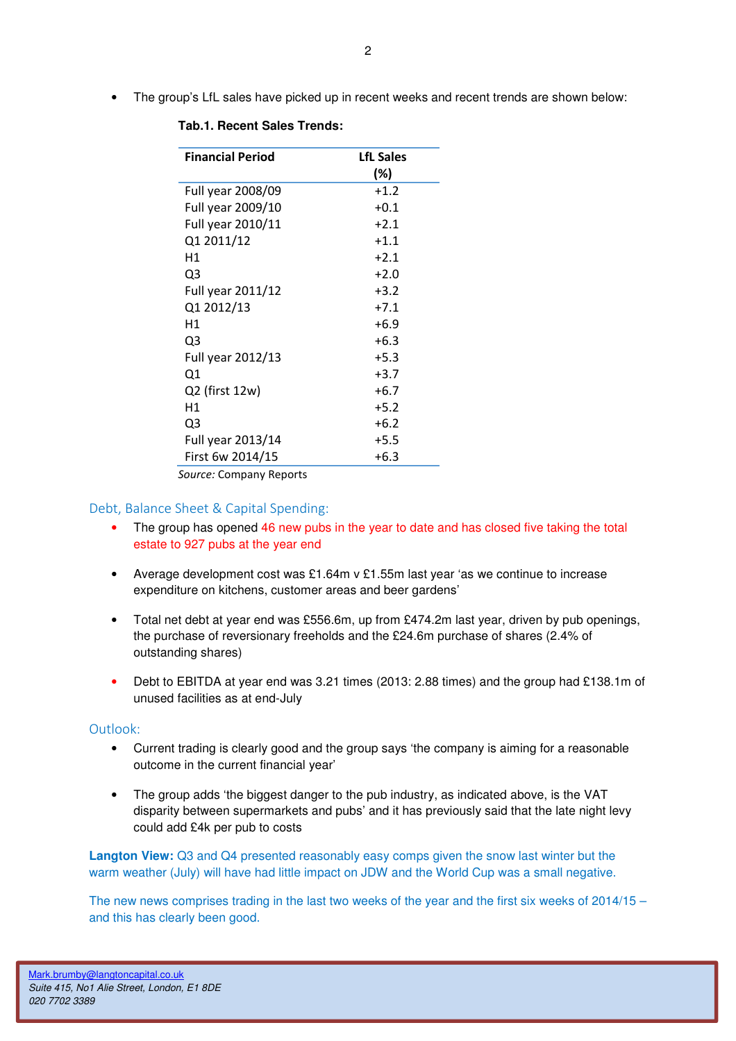• The group's LfL sales have picked up in recent weeks and recent trends are shown below:

| <b>Financial Period</b> | <b>LfL Sales</b> |  |  |  |
|-------------------------|------------------|--|--|--|
|                         | (%)              |  |  |  |
| Full year 2008/09       | $+1.2$           |  |  |  |
| Full year 2009/10       | $+0.1$           |  |  |  |
| Full year 2010/11       | $+2.1$           |  |  |  |
| Q1 2011/12              | $+1.1$           |  |  |  |
| Η1                      | $+2.1$           |  |  |  |
| Q3                      | $+2.0$           |  |  |  |
| Full year 2011/12       | $+3.2$           |  |  |  |
| Q1 2012/13              | $+7.1$           |  |  |  |
| Η1                      | $+6.9$           |  |  |  |
| Q <sub>3</sub>          | $+6.3$           |  |  |  |
| Full year 2012/13       | $+5.3$           |  |  |  |
| Q1                      | $+3.7$           |  |  |  |
| Q2 (first 12w)          | $+6.7$           |  |  |  |
| Η1                      | $+5.2$           |  |  |  |
| Q3                      | $+6.2$           |  |  |  |
| Full year 2013/14       | $+5.5$           |  |  |  |
| First 6w 2014/15        | $+6.3$           |  |  |  |
| Source: Company Reports |                  |  |  |  |

#### **Tab.1. Recent Sales Trends:**

Debt, Balance Sheet & Capital Spending:

- The group has opened 46 new pubs in the year to date and has closed five taking the total estate to 927 pubs at the year end
- Average development cost was £1.64m v £1.55m last year 'as we continue to increase expenditure on kitchens, customer areas and beer gardens'
- Total net debt at year end was £556.6m, up from £474.2m last year, driven by pub openings, the purchase of reversionary freeholds and the £24.6m purchase of shares (2.4% of outstanding shares)
- Debt to EBITDA at year end was 3.21 times (2013: 2.88 times) and the group had £138.1m of unused facilities as at end-July

#### Outlook:

- Current trading is clearly good and the group says 'the company is aiming for a reasonable outcome in the current financial year'
- The group adds 'the biggest danger to the pub industry, as indicated above, is the VAT disparity between supermarkets and pubs' and it has previously said that the late night levy could add £4k per pub to costs

**Langton View:** Q3 and Q4 presented reasonably easy comps given the snow last winter but the warm weather (July) will have had little impact on JDW and the World Cup was a small negative.

The new news comprises trading in the last two weeks of the year and the first six weeks of 2014/15 – and this has clearly been good.